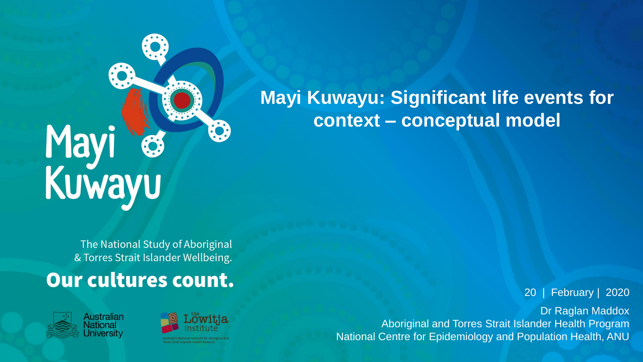## Mayi<br>Kuwayu

**Mayi Kuwayu: Significant life events for context – conceptual model**

The National Study of Aboriginal & Torres Strait Islander Wellbeing.

## Our cultures count.





20 | February | 2020

Dr Raglan Maddox Aboriginal and Torres Strait Islander Health Program National Centre for Epidemiology and Population Health, ANU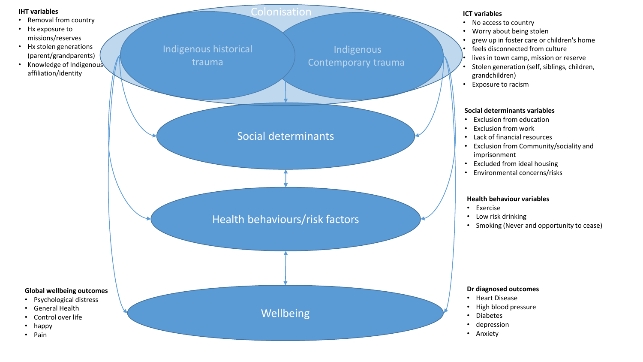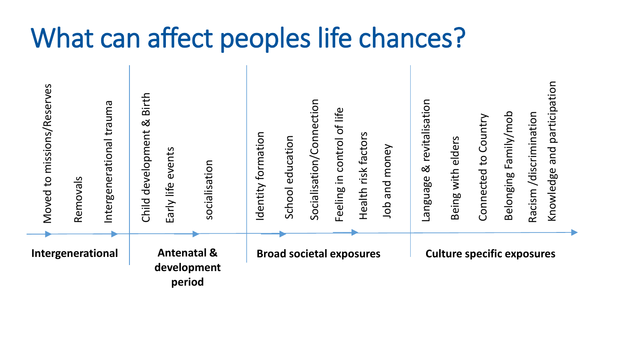## What can affect peoples life chances?

| Moved to missions/Reserves | Removals | Intergenerational trauma                        | Birth<br>ಡ<br>Child development | events<br>Early life | socialisation                   | Identity formation | School education | Socialisation/Connection | in control of life<br>Feeling | Health risk factors | money<br>bue<br>dol | revitalisation<br>$\infty$<br>Language | with elders<br>Being | Connected to Country | Family/mob<br>Belonging | /discrimination<br>Racism | and participation<br>Knowledge |
|----------------------------|----------|-------------------------------------------------|---------------------------------|----------------------|---------------------------------|--------------------|------------------|--------------------------|-------------------------------|---------------------|---------------------|----------------------------------------|----------------------|----------------------|-------------------------|---------------------------|--------------------------------|
| Intergenerational          |          | <b>Antenatal &amp;</b><br>development<br>period |                                 |                      | <b>Broad societal exposures</b> |                    |                  |                          |                               |                     |                     | <b>Culture specific exposures</b>      |                      |                      |                         |                           |                                |